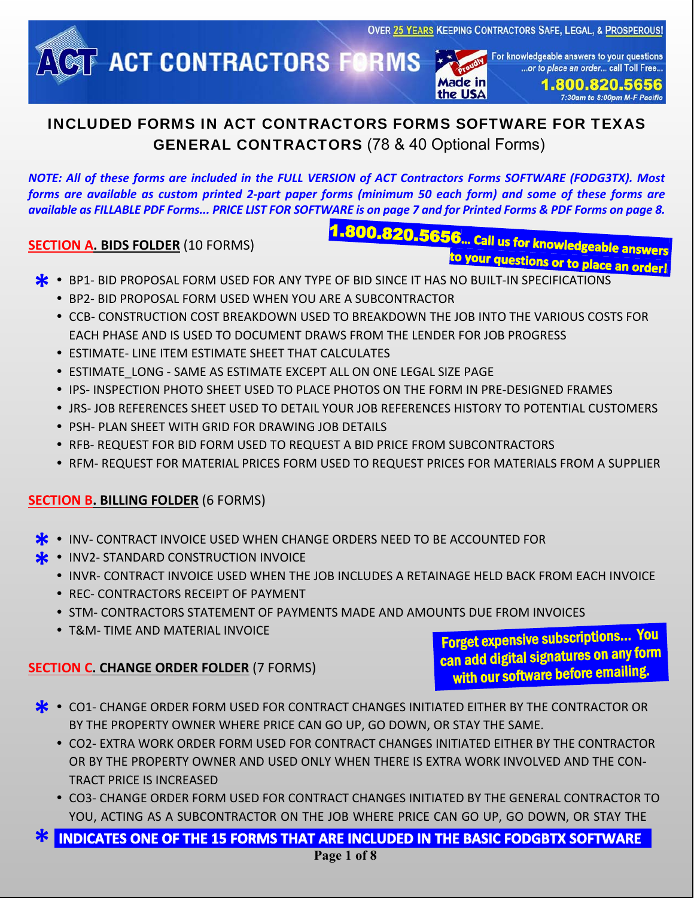Made in

the USA



For knowledgeable answers to your questions ...or to place an order... call Toll Free..

> 1.800.820.5656 7:30am to 8:00pm M-F Pacific

## INCLUDED FORMS IN ACT CONTRACTORS FORMS SOFTWARE FOR TEXAS GENERAL CONTRACTORS (78 & 40 Optional Forms)

*NOTE: All of these forms are included in the FULL VERSION of ACT Contractors Forms SOFTWARE (FODG3TX). Most forms are available as custom printed 2-part paper forms (minimum 50 each form) and some of these forms are available as FILLABLE PDF Forms... PRICE LIST FOR SOFTWARE is on page 7 and for Printed Forms & PDF Forms on page 8.*

#### **SECTION A. BIDS FOLDER** (10 FORMS)

.800.820.5656... Call us for knowledgeable answers<br>to your questions and water answers

- **\* \*** BP1- BID PROPOSAL FORM USED FOR ANY TYPE OF BID SINCE IT HAS NO BUILT-IN SPECIFICATIONS<br>• BP2- BID PROPOSAL FORM USED WHEN YOU ARE A SUBCONTRACTOR
	- BP2- BID PROPOSAL FORM USED WHEN YOU ARE A SUBCONTRACTOR
	- **CCB- CONSTRUCTION COST BREAKDOWN USED TO BREAKDOWN THE JOB INTO THE VARIOUS COSTS FOR** EACH PHASE AND IS USED TO DOCUMENT DRAWS FROM THE LENDER FOR JOB PROGRESS
	- ESTIMATE- LINE ITEM ESTIMATE SHEET THAT CALCULATES
	- **.** ESTIMATE\_LONG SAME AS ESTIMATE EXCEPT ALL ON ONE LEGAL SIZE PAGE
	- **IPS- INSPECTION PHOTO SHEET USED TO PLACE PHOTOS ON THE FORM IN PRE-DESIGNED FRAMES**
	- JRS- JOB REFERENCES SHEET USED TO DETAIL YOUR JOB REFERENCES HISTORY TO POTENTIAL CUSTOMERS
	- PSH- PLAN SHEET WITH GRID FOR DRAWING JOB DETAILS
	- **RFB- REQUEST FOR BID FORM USED TO REQUEST A BID PRICE FROM SUBCONTRACTORS**
	- **RFM- REQUEST FOR MATERIAL PRICES FORM USED TO REQUEST PRICES FOR MATERIALS FROM A SUPPLIER**

## **SECTION B. BILLING FOLDER** (6 FORMS)

- **INV- CONTRACT INVOICE USED WHEN CHANGE ORDERS NEED TO BE ACCOUNTED FOR \*** INV- CONTRACT INVOICE USED WHEN CHA<br> **\*** INV2- STANDARD CONSTRUCTION INVOICE
- **\***
	- INVR- CONTRACT INVOICE USED WHEN THE JOB INCLUDES A RETAINAGE HELD BACK FROM EACH INVOICE
	- REC- CONTRACTORS RECEIPT OF PAYMENT
	- **.** STM- CONTRACTORS STATEMENT OF PAYMENTS MADE AND AMOUNTS DUE FROM INVOICES
	- T&M- TIME AND MATERIAL INVOICE

## **SECTION C. CHANGE ORDER FOLDER** (7 FORMS)

Forget expensive subscriptions… You can add digital signatures on any form with our software before emailing.

- **\*** CO1- CHANGE ORDER FORM USED FOR CONTRACT CHANGES INITIATED EITHER BY THE CONTRACTOR OR BY THE PROPERTY OWNER WHERE PRICE CAN GO UP, GO DOWN, OR STAY THE SAME. BY THE PROPERTY OWNER WHERE PRICE CAN GO UP, GO DOWN, OR STAY THE SAME.
	- CO2- EXTRA WORK ORDER FORM USED FOR CONTRACT CHANGES INITIATED EITHER BY THE CONTRACTOR OR BY THE PROPERTY OWNER AND USED ONLY WHEN THERE IS EXTRA WORK INVOLVED AND THE CON-TRACT PRICE IS INCREASED
	- CO3- CHANGE ORDER FORM USED FOR CONTRACT CHANGES INITIATED BY THE GENERAL CONTRACTOR TO YOU, ACTING AS A SUBCONTRACTOR ON THE JOB WHERE PRICE CAN GO UP, GO DOWN, OR STAY THE

INDICATES ONE OF THE 15 FORMS THAT ARE INCLUDED IN THE BASIC FODGBTX SOFTWARE **\***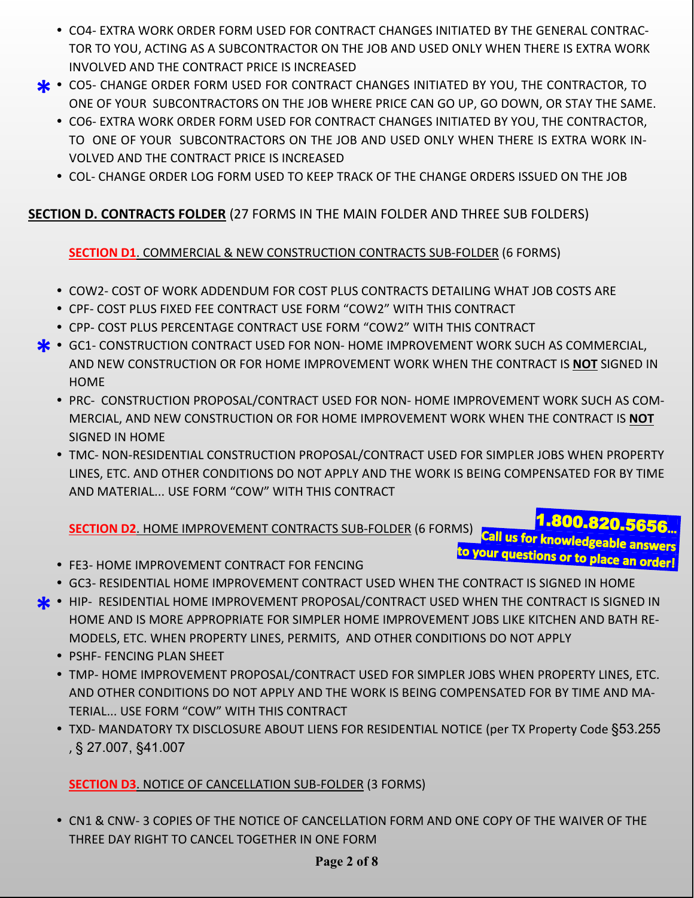- CO4- EXTRA WORK ORDER FORM USED FOR CONTRACT CHANGES INITIATED BY THE GENERAL CONTRAC-TOR TO YOU, ACTING AS A SUBCONTRACTOR ON THE JOB AND USED ONLY WHEN THERE IS EXTRA WORK INVOLVED AND THE CONTRACT PRICE IS INCREASED
- CO5- CHANGE ORDER FORM USED FOR CONTRACT CHANGES INITIATED BY YOU, THE CONTRACTOR, TO ONE OF YOUR SUBCONTRACTORS ON THE JOB WHERE PRICE CAN GO UP, GO DOWN, OR STAY THE SAME ONE OF YOUR SUBCONTRACTORS ON THE JOB WHERE PRICE CAN GO UP, GO DOWN, OR STAY THE SAME.
	- CO6- EXTRA WORK ORDER FORM USED FOR CONTRACT CHANGES INITIATED BY YOU, THE CONTRACTOR, TO ONE OF YOUR SUBCONTRACTORS ON THE JOB AND USED ONLY WHEN THERE IS EXTRA WORK IN-VOLVED AND THE CONTRACT PRICE IS INCREASED
	- COL- CHANGE ORDER LOG FORM USED TO KEEP TRACK OF THE CHANGE ORDERS ISSUED ON THE JOB

### **SECTION D. CONTRACTS FOLDER** (27 FORMS IN THE MAIN FOLDER AND THREE SUB FOLDERS)

#### **SECTION D1**. COMMERCIAL & NEW CONSTRUCTION CONTRACTS SUB-FOLDER (6 FORMS)

- COW2- COST OF WORK ADDENDUM FOR COST PLUS CONTRACTS DETAILING WHAT JOB COSTS ARE
- CPF- COST PLUS FIXED FEE CONTRACT USE FORM "COW2" WITH THIS CONTRACT
- CPP- COST PLUS PERCENTAGE CONTRACT USE FORM "COW2" WITH THIS CONTRACT
- GC1- CONSTRUCTION CONTRACT USED FOR NON- HOME IMPROVEMENT WORK SUCH AS COMMERCIAL,<br>AND NEW CONSTRUCTION OR FOR HOME IMPROVEMENT WORK WHEN THE CONTRACT IS NOT SIGNED I AND NEW CONSTRUCTION OR FOR HOME IMPROVEMENT WORK WHEN THE CONTRACT IS **NOT** SIGNED IN **HOME** 
	- PRC- CONSTRUCTION PROPOSAL/CONTRACT USED FOR NON- HOME IMPROVEMENT WORK SUCH AS COM-MERCIAL, AND NEW CONSTRUCTION OR FOR HOME IMPROVEMENT WORK WHEN THE CONTRACT IS **NOT** SIGNED IN HOME
	- TMC- NON-RESIDENTIAL CONSTRUCTION PROPOSAL/CONTRACT USED FOR SIMPLER JOBS WHEN PROPERTY LINES, ETC. AND OTHER CONDITIONS DO NOT APPLY AND THE WORK IS BEING COMPENSATED FOR BY TIME AND MATERIAL... USE FORM "COW" WITH THIS CONTRACT

# SECTION D2. HOME IMPROVEMENT CONTRACTS SUB-FOLDER (6 FORMS) Call us for knowledgeable answers to your questions or to place an order!

- FE3- HOME IMPROVEMENT CONTRACT FOR FENCING
- GC3- RESIDENTIAL HOME IMPROVEMENT CONTRACT USED WHEN THE CONTRACT IS SIGNED IN HOME
- HIP- RESIDENTIAL HOME IMPROVEMENT PROPOSAL/CONTRACT USED WHEN THE CONTRACT IS SIGNED IN **\*** HOME AND IS MORE APPROPRIATE FOR SIMPLER HOME IMPROVEMENT JOBS LIKE KITCHEN AND BATH RE-MODELS, ETC. WHEN PROPERTY LINES, PERMITS, AND OTHER CONDITIONS DO NOT APPLY
	- PSHF- FENCING PLAN SHEET
	- TMP- HOME IMPROVEMENT PROPOSAL/CONTRACT USED FOR SIMPLER JOBS WHEN PROPERTY LINES, ETC. AND OTHER CONDITIONS DO NOT APPLY AND THE WORK IS BEING COMPENSATED FOR BY TIME AND MA-TERIAL... USE FORM "COW" WITH THIS CONTRACT
	- TXD- MANDATORY TX DISCLOSURE ABOUT LIENS FOR RESIDENTIAL NOTICE (per TX Property Code §53.255 , § 27.007, §41.007

#### **SECTION D3**. NOTICE OF CANCELLATION SUB-FOLDER (3 FORMS)

 CN1 & CNW- 3 COPIES OF THE NOTICE OF CANCELLATION FORM AND ONE COPY OF THE WAIVER OF THE THREE DAY RIGHT TO CANCEL TOGETHER IN ONE FORM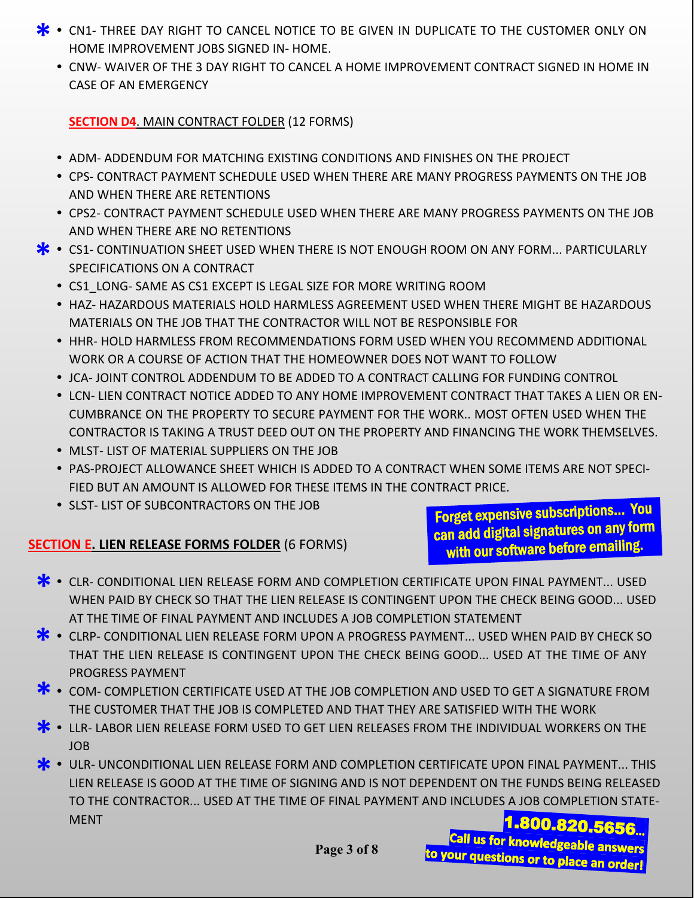- **\*** CN1- THREE DAY RIGHT TO CANCEL NOTICE TO BE GIVEN IN DUPLICATE TO THE CUSTOMER ONLY ON HOME IMPROVEMENT JOBS SIGNED IN- HOME. HOME IMPROVEMENT JOBS SIGNED IN- HOME.
	- CNW- WAIVER OF THE 3 DAY RIGHT TO CANCEL A HOME IMPROVEMENT CONTRACT SIGNED IN HOME IN CASE OF AN EMERGENCY

#### **SECTION D4**. MAIN CONTRACT FOLDER (12 FORMS)

- ADM- ADDENDUM FOR MATCHING EXISTING CONDITIONS AND FINISHES ON THE PROJECT
- CPS- CONTRACT PAYMENT SCHEDULE USED WHEN THERE ARE MANY PROGRESS PAYMENTS ON THE JOB AND WHEN THERE ARE RETENTIONS
- CPS2- CONTRACT PAYMENT SCHEDULE USED WHEN THERE ARE MANY PROGRESS PAYMENTS ON THE JOB AND WHEN THERE ARE NO RETENTIONS
- **\*** CS1- CONTINUATION SHEET USED WHEN THERE IS NOT ENOUGH ROOM ON ANY FORM... PARTICULARLY<br>SPECIFICATIONS ON A CONTRACT SPECIFICATIONS ON A CONTRACT
	- CS1\_LONG- SAME AS CS1 EXCEPT IS LEGAL SIZE FOR MORE WRITING ROOM
	- HAZ- HAZARDOUS MATERIALS HOLD HARMLESS AGREEMENT USED WHEN THERE MIGHT BE HAZARDOUS MATERIALS ON THE JOB THAT THE CONTRACTOR WILL NOT BE RESPONSIBLE FOR
	- **HHR- HOLD HARMLESS FROM RECOMMENDATIONS FORM USED WHEN YOU RECOMMEND ADDITIONAL** WORK OR A COURSE OF ACTION THAT THE HOMEOWNER DOES NOT WANT TO FOLLOW
	- JCA- JOINT CONTROL ADDENDUM TO BE ADDED TO A CONTRACT CALLING FOR FUNDING CONTROL
	- LCN- LIEN CONTRACT NOTICE ADDED TO ANY HOME IMPROVEMENT CONTRACT THAT TAKES A LIEN OR EN-CUMBRANCE ON THE PROPERTY TO SECURE PAYMENT FOR THE WORK.. MOST OFTEN USED WHEN THE CONTRACTOR IS TAKING A TRUST DEED OUT ON THE PROPERTY AND FINANCING THE WORK THEMSELVES.
	- MLST- LIST OF MATERIAL SUPPLIERS ON THE JOB
	- PAS-PROJECT ALLOWANCE SHEET WHICH IS ADDED TO A CONTRACT WHEN SOME ITEMS ARE NOT SPECI-FIED BUT AN AMOUNT IS ALLOWED FOR THESE ITEMS IN THE CONTRACT PRICE.
	- SLST- LIST OF SUBCONTRACTORS ON THE JOB

## **SECTION E. LIEN RELEASE FORMS FOLDER** (6 FORMS)

Forget expensive subscriptions… You can add digital signatures on any form with our software before emailing.

- CLR- CONDITIONAL LIEN RELEASE FORM AND COMPLETION CERTIFICATE UPON FINAL PAYMENT... USED<br>WHEN PAID BY CHECK SO THAT THE LIEN RELEASE IS CONTINGENT UPON THE CHECK BEING GOOD... USEI WHEN PAID BY CHECK SO THAT THE LIEN RELEASE IS CONTINGENT UPON THE CHECK BEING GOOD... USED AT THE TIME OF FINAL PAYMENT AND INCLUDES A JOB COMPLETION STATEMENT
- CLRP- CONDITIONAL LIEN RELEASE FORM UPON A PROGRESS PAYMENT... USED WHEN PAID BY CHECK SO THAT THE LIEN RELEASE IS CONTINGENT UPON THE CHECK BEING GOOD... USED AT THE TIME OF ANY THAT THE LIEN RELEASE IS CONTINGENT UPON THE CHECK BEING GOOD... USED AT THE TIME OF ANY PROGRESS PAYMENT
- COM- COMPLETION CERTIFICATE USED AT THE JOB COMPLETION AND USED TO GET A SIGNATURE FROM THE CUSTOMER THAT THE JOB IS COMPLETED AND THAT THEY ARE SATISFIED WITH THE WORK THE CUSTOMER THAT THE JOB IS COMPLETED AND THAT THEY ARE SATISFIED WITH THE WORK
- **\*** LLR- LABOR LIEN RELEASE FORM USED TO GET LIEN RELEASES FROM THE INDIVIDUAL WORKERS ON THE JOB JOB
- ULR- UNCONDITIONAL LIEN RELEASE FORM AND COMPLETION CERTIFICATE UPON FINAL PAYMENT... THIS LIEN RELEASED<br>LIEN RELEASE IS GOOD AT THE TIME OF SIGNING AND IS NOT DEPENDENT ON THE FUNDS BEING RELEASED LIEN RELEASE IS GOOD AT THE TIME OF SIGNING AND IS NOT DEPENDENT ON THE FUNDS BEING RELEASED TO THE CONTRACTOR... USED AT THE TIME OF FINAL PAYMENT AND INCLUDES A JOB COMPLETION STATE-MENT 800.820.5656.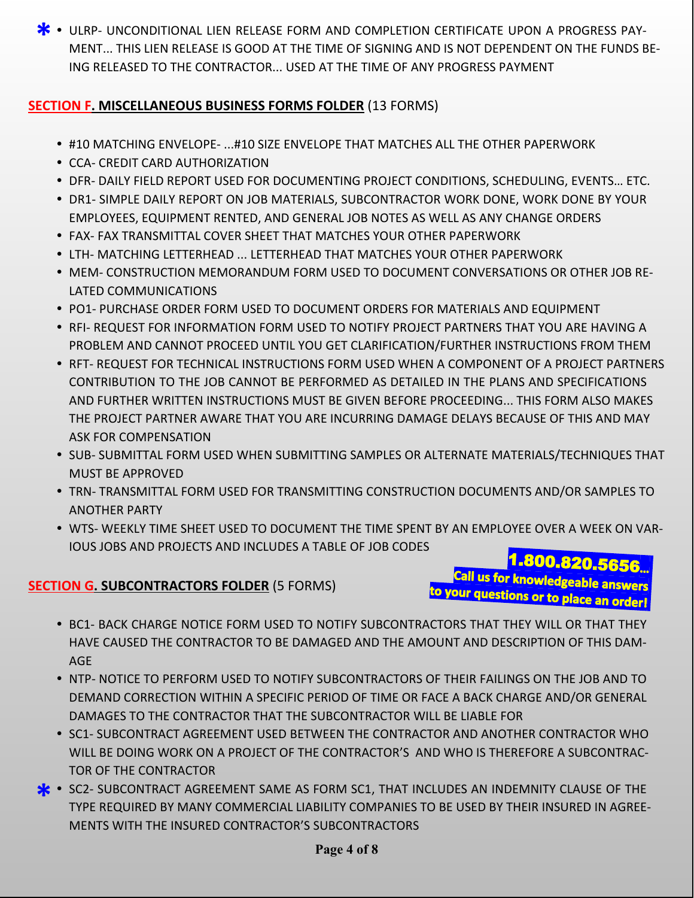**\*** • ULRP- UNCONDITIONAL LIEN RELEASE FORM AND COMPLETION CERTIFICATE UPON A PROGRESS PAY-<br>MENT... THIS LIEN RELEASE IS GOOD AT THE TIME OF SIGNING AND IS NOT DEPENDENT ON THE FUNDS E MENT... THIS LIEN RELEASE IS GOOD AT THE TIME OF SIGNING AND IS NOT DEPENDENT ON THE FUNDS BE-ING RELEASED TO THE CONTRACTOR... USED AT THE TIME OF ANY PROGRESS PAYMENT

## **SECTION F. MISCELLANEOUS BUSINESS FORMS FOLDER** (13 FORMS)

- #10 MATCHING ENVELOPE- ...#10 SIZE ENVELOPE THAT MATCHES ALL THE OTHER PAPERWORK
- CCA- CREDIT CARD AUTHORIZATION
- DFR- DAILY FIELD REPORT USED FOR DOCUMENTING PROJECT CONDITIONS, SCHEDULING, EVENTS… ETC.
- **DR1- SIMPLE DAILY REPORT ON JOB MATERIALS, SUBCONTRACTOR WORK DONE, WORK DONE BY YOUR** EMPLOYEES, EQUIPMENT RENTED, AND GENERAL JOB NOTES AS WELL AS ANY CHANGE ORDERS
- FAX- FAX TRANSMITTAL COVER SHEET THAT MATCHES YOUR OTHER PAPERWORK
- LTH- MATCHING LETTERHEAD ... LETTERHEAD THAT MATCHES YOUR OTHER PAPERWORK
- MEM- CONSTRUCTION MEMORANDUM FORM USED TO DOCUMENT CONVERSATIONS OR OTHER JOB RE-LATED COMMUNICATIONS
- **PO1- PURCHASE ORDER FORM USED TO DOCUMENT ORDERS FOR MATERIALS AND EQUIPMENT**
- **RFI- REQUEST FOR INFORMATION FORM USED TO NOTIFY PROJECT PARTNERS THAT YOU ARE HAVING A** PROBLEM AND CANNOT PROCEED UNTIL YOU GET CLARIFICATION/FURTHER INSTRUCTIONS FROM THEM
- **RFT- REQUEST FOR TECHNICAL INSTRUCTIONS FORM USED WHEN A COMPONENT OF A PROJECT PARTNERS** CONTRIBUTION TO THE JOB CANNOT BE PERFORMED AS DETAILED IN THE PLANS AND SPECIFICATIONS AND FURTHER WRITTEN INSTRUCTIONS MUST BE GIVEN BEFORE PROCEEDING... THIS FORM ALSO MAKES THE PROJECT PARTNER AWARE THAT YOU ARE INCURRING DAMAGE DELAYS BECAUSE OF THIS AND MAY ASK FOR COMPENSATION
- **.** SUB- SUBMITTAL FORM USED WHEN SUBMITTING SAMPLES OR ALTERNATE MATERIALS/TECHNIQUES THAT MUST BE APPROVED
- TRN- TRANSMITTAL FORM USED FOR TRANSMITTING CONSTRUCTION DOCUMENTS AND/OR SAMPLES TO ANOTHER PARTY
- WTS- WEEKLY TIME SHEET USED TO DOCUMENT THE TIME SPENT BY AN EMPLOYEE OVER A WEEK ON VAR-IOUS JOBS AND PROJECTS AND INCLUDES A TABLE OF JOB CODES

# **SECTION G. SUBCONTRACTORS FOLDER** (5 FORMS)

1.800.820.5656...<br>Call us for knowledgeable answers to your questions or to place an order!

- **BC1- BACK CHARGE NOTICE FORM USED TO NOTIFY SUBCONTRACTORS THAT THEY WILL OR THAT THEY** HAVE CAUSED THE CONTRACTOR TO BE DAMAGED AND THE AMOUNT AND DESCRIPTION OF THIS DAM-AGE
- **NTP- NOTICE TO PERFORM USED TO NOTIFY SUBCONTRACTORS OF THEIR FAILINGS ON THE JOB AND TO** DEMAND CORRECTION WITHIN A SPECIFIC PERIOD OF TIME OR FACE A BACK CHARGE AND/OR GENERAL DAMAGES TO THE CONTRACTOR THAT THE SUBCONTRACTOR WILL BE LIABLE FOR
- **SC1- SUBCONTRACT AGREEMENT USED BETWEEN THE CONTRACTOR AND ANOTHER CONTRACTOR WHO** WILL BE DOING WORK ON A PROJECT OF THE CONTRACTOR'S AND WHO IS THEREFORE A SUBCONTRAC-TOR OF THE CONTRACTOR
- SC2- SUBCONTRACT AGREEMENT SAME AS FORM SC1, THAT INCLUDES AN INDEMNITY CLAUSE OF THE TYPE REQUIRED BY MANY COMMERCIAL LIABILITY COMPANIES TO BE USED BY THEIR INSURED IN AGREE-TYPE REQUIRED BY MANY COMMERCIAL LIABILITY COMPANIES TO BE USED BY THEIR INSURED IN AGREE-MENTS WITH THE INSURED CONTRACTOR'S SUBCONTRACTORS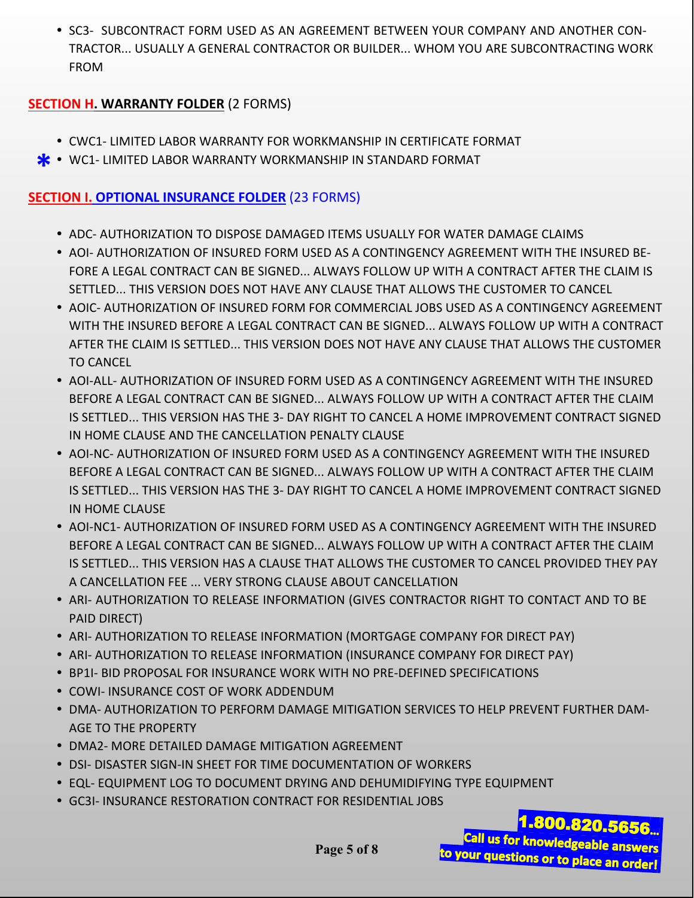**SC3- SUBCONTRACT FORM USED AS AN AGREEMENT BETWEEN YOUR COMPANY AND ANOTHER CON-**TRACTOR... USUALLY A GENERAL CONTRACTOR OR BUILDER... WHOM YOU ARE SUBCONTRACTING WORK FROM

#### **SECTION H. WARRANTY FOLDER** (2 FORMS)

- CWC1- LIMITED LABOR WARRANTY FOR WORKMANSHIP IN CERTIFICATE FORMAT
- **\*** WC1- LIMITED LABOR WARRANTY WORKMANSHIP IN STANDARD FORMAT

#### **SECTION I. OPTIONAL INSURANCE FOLDER** (23 FORMS)

- **ADC- AUTHORIZATION TO DISPOSE DAMAGED ITEMS USUALLY FOR WATER DAMAGE CLAIMS**
- AOI- AUTHORIZATION OF INSURED FORM USED AS A CONTINGENCY AGREEMENT WITH THE INSURED BE-FORE A LEGAL CONTRACT CAN BE SIGNED... ALWAYS FOLLOW UP WITH A CONTRACT AFTER THE CLAIM IS SETTLED... THIS VERSION DOES NOT HAVE ANY CLAUSE THAT ALLOWS THE CUSTOMER TO CANCEL
- AOIC- AUTHORIZATION OF INSURED FORM FOR COMMERCIAL JOBS USED AS A CONTINGENCY AGREEMENT WITH THE INSURED BEFORE A LEGAL CONTRACT CAN BE SIGNED... ALWAYS FOLLOW UP WITH A CONTRACT AFTER THE CLAIM IS SETTLED... THIS VERSION DOES NOT HAVE ANY CLAUSE THAT ALLOWS THE CUSTOMER TO CANCEL
- AOI-ALL- AUTHORIZATION OF INSURED FORM USED AS A CONTINGENCY AGREEMENT WITH THE INSURED BEFORE A LEGAL CONTRACT CAN BE SIGNED... ALWAYS FOLLOW UP WITH A CONTRACT AFTER THE CLAIM IS SETTLED... THIS VERSION HAS THE 3- DAY RIGHT TO CANCEL A HOME IMPROVEMENT CONTRACT SIGNED IN HOME CLAUSE AND THE CANCELLATION PENALTY CLAUSE
- AOI-NC- AUTHORIZATION OF INSURED FORM USED AS A CONTINGENCY AGREEMENT WITH THE INSURED BEFORE A LEGAL CONTRACT CAN BE SIGNED... ALWAYS FOLLOW UP WITH A CONTRACT AFTER THE CLAIM IS SETTLED... THIS VERSION HAS THE 3- DAY RIGHT TO CANCEL A HOME IMPROVEMENT CONTRACT SIGNED IN HOME CLAUSE
- AOI-NC1- AUTHORIZATION OF INSURED FORM USED AS A CONTINGENCY AGREEMENT WITH THE INSURED BEFORE A LEGAL CONTRACT CAN BE SIGNED... ALWAYS FOLLOW UP WITH A CONTRACT AFTER THE CLAIM IS SETTLED... THIS VERSION HAS A CLAUSE THAT ALLOWS THE CUSTOMER TO CANCEL PROVIDED THEY PAY A CANCELLATION FEE ... VERY STRONG CLAUSE ABOUT CANCELLATION
- **ARI- AUTHORIZATION TO RELEASE INFORMATION (GIVES CONTRACTOR RIGHT TO CONTACT AND TO BE** PAID DIRECT)
- **ARI- AUTHORIZATION TO RELEASE INFORMATION (MORTGAGE COMPANY FOR DIRECT PAY)**
- **ARI- AUTHORIZATION TO RELEASE INFORMATION (INSURANCE COMPANY FOR DIRECT PAY)**
- **BP1I- BID PROPOSAL FOR INSURANCE WORK WITH NO PRE-DEFINED SPECIFICATIONS**
- COWI- INSURANCE COST OF WORK ADDENDUM
- **DMA- AUTHORIZATION TO PERFORM DAMAGE MITIGATION SERVICES TO HELP PREVENT FURTHER DAM-**AGE TO THE PROPERTY
- DMA2- MORE DETAILED DAMAGE MITIGATION AGREEMENT
- **DSI- DISASTER SIGN-IN SHEET FOR TIME DOCUMENTATION OF WORKERS**
- EQL- EQUIPMENT LOG TO DOCUMENT DRYING AND DEHUMIDIFYING TYPE EQUIPMENT
- GC3I- INSURANCE RESTORATION CONTRACT FOR RESIDENTIAL JOBS

1.800.820.5656 Call us for knowledgeable answers to your questions or to place an order!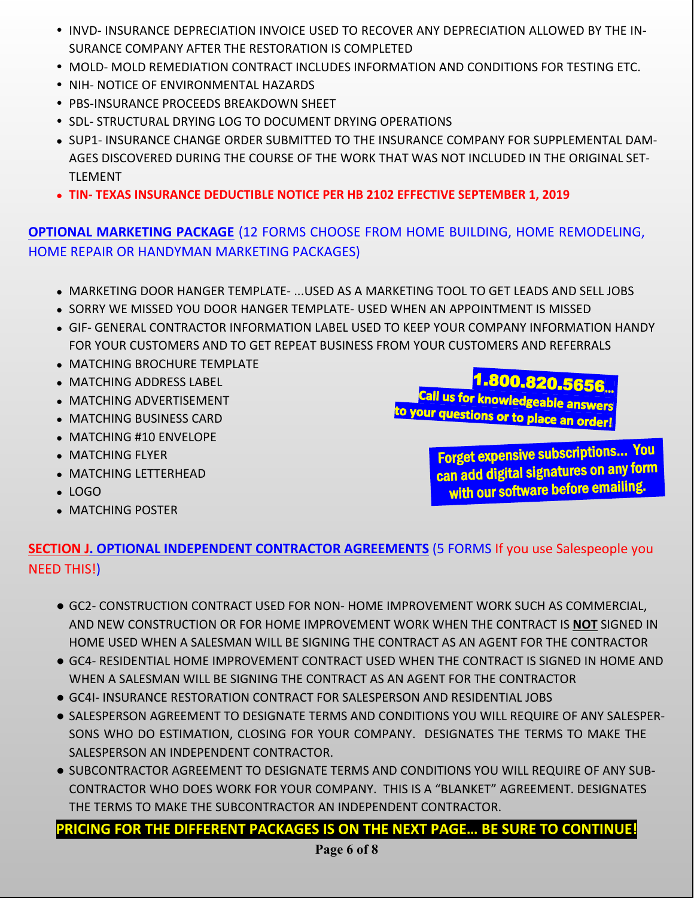- INVD- INSURANCE DEPRECIATION INVOICE USED TO RECOVER ANY DEPRECIATION ALLOWED BY THE IN-SURANCE COMPANY AFTER THE RESTORATION IS COMPLETED
- **MOLD- MOLD REMEDIATION CONTRACT INCLUDES INFORMATION AND CONDITIONS FOR TESTING ETC.**
- NIH- NOTICE OF ENVIRONMENTAL HAZARDS
- **PBS-INSURANCE PROCEEDS BREAKDOWN SHEET**
- **SDL- STRUCTURAL DRYING LOG TO DOCUMENT DRYING OPERATIONS**
- SUP1- INSURANCE CHANGE ORDER SUBMITTED TO THE INSURANCE COMPANY FOR SUPPLEMENTAL DAM-AGES DISCOVERED DURING THE COURSE OF THE WORK THAT WAS NOT INCLUDED IN THE ORIGINAL SET-TLEMENT
- **● TIN- TEXAS INSURANCE DEDUCTIBLE NOTICE PER HB 2102 EFFECTIVE SEPTEMBER 1, 2019**

## **OPTIONAL MARKETING PACKAGE** (12 FORMS CHOOSE FROM HOME BUILDING, HOME REMODELING, HOME REPAIR OR HANDYMAN MARKETING PACKAGES)

- MARKETING DOOR HANGER TEMPLATE- ...USED AS A MARKETING TOOL TO GET LEADS AND SELL JOBS
- SORRY WE MISSED YOU DOOR HANGER TEMPLATE- USED WHEN AN APPOINTMENT IS MISSED
- GIF- GENERAL CONTRACTOR INFORMATION LABEL USED TO KEEP YOUR COMPANY INFORMATION HANDY FOR YOUR CUSTOMERS AND TO GET REPEAT BUSINESS FROM YOUR CUSTOMERS AND REFERRALS
- MATCHING BROCHURE TEMPLATE
- MATCHING ADDRESS LABEL
- MATCHING ADVERTISEMENT
- MATCHING BUSINESS CARD
- MATCHING #10 ENVELOPE
- MATCHING FLYER
- MATCHING LETTERHEAD
- LOGO
- MATCHING POSTER

1.800.820.5656...<br>Call us for knowledgeable answers to your questions or to place an order!

> Forget expensive subscriptions… You can add digital signatures on any form with our software before emailing.

## **SECTION J. OPTIONAL INDEPENDENT CONTRACTOR AGREEMENTS** (5 FORMS If you use Salespeople you NEED THIS!)

- GC2- CONSTRUCTION CONTRACT USED FOR NON- HOME IMPROVEMENT WORK SUCH AS COMMERCIAL, AND NEW CONSTRUCTION OR FOR HOME IMPROVEMENT WORK WHEN THE CONTRACT IS **NOT** SIGNED IN HOME USED WHEN A SALESMAN WILL BE SIGNING THE CONTRACT AS AN AGENT FOR THE CONTRACTOR
- GC4- RESIDENTIAL HOME IMPROVEMENT CONTRACT USED WHEN THE CONTRACT IS SIGNED IN HOME AND WHEN A SALESMAN WILL BE SIGNING THE CONTRACT AS AN AGENT FOR THE CONTRACTOR
- GC4I- INSURANCE RESTORATION CONTRACT FOR SALESPERSON AND RESIDENTIAL JOBS
- SALESPERSON AGREEMENT TO DESIGNATE TERMS AND CONDITIONS YOU WILL REQUIRE OF ANY SALESPER-SONS WHO DO ESTIMATION, CLOSING FOR YOUR COMPANY. DESIGNATES THE TERMS TO MAKE THE SALESPERSON AN INDEPENDENT CONTRACTOR.
- SUBCONTRACTOR AGREEMENT TO DESIGNATE TERMS AND CONDITIONS YOU WILL REQUIRE OF ANY SUB-CONTRACTOR WHO DOES WORK FOR YOUR COMPANY. THIS IS A "BLANKET" AGREEMENT. DESIGNATES THE TERMS TO MAKE THE SUBCONTRACTOR AN INDEPENDENT CONTRACTOR.

**PRICING FOR THE DIFFERENT PACKAGES IS ON THE NEXT PAGE… BE SURE TO CONTINUE!**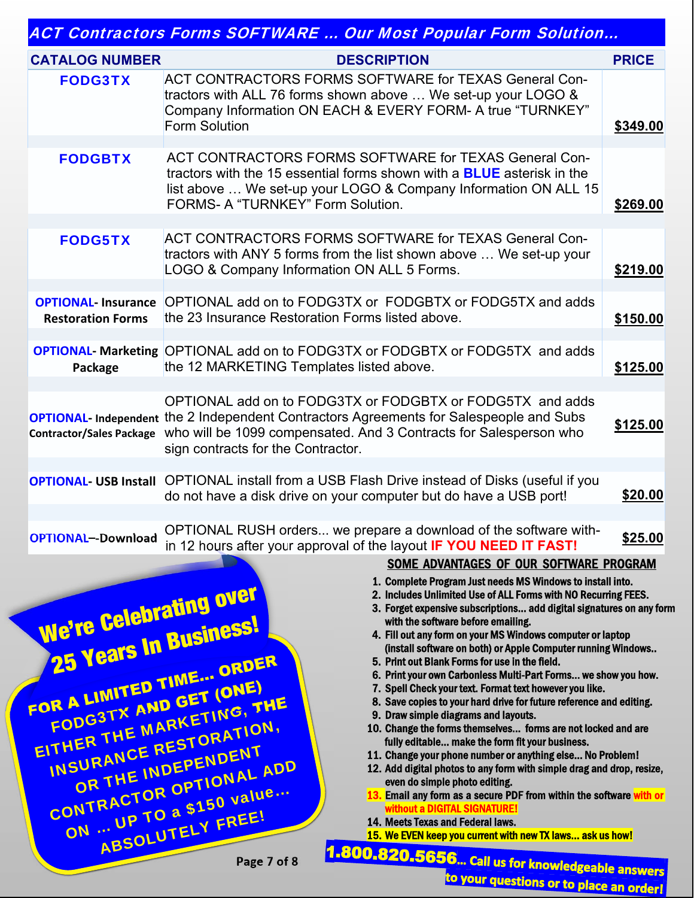|  | ACT Contractors Forms SOFTWARE  Our Most Popular Form Solution |
|--|----------------------------------------------------------------|
|  |                                                                |

|                                                       | <i>TWO me the car moder opened torm condition</i>                                                                                                                                                                                                                                               |              |
|-------------------------------------------------------|-------------------------------------------------------------------------------------------------------------------------------------------------------------------------------------------------------------------------------------------------------------------------------------------------|--------------|
| <b>CATALOG NUMBER</b>                                 | <b>DESCRIPTION</b>                                                                                                                                                                                                                                                                              | <b>PRICE</b> |
| <b>FODG3TX</b>                                        | ACT CONTRACTORS FORMS SOFTWARE for TEXAS General Con-<br>tractors with ALL 76 forms shown above  We set-up your LOGO &<br>Company Information ON EACH & EVERY FORM- A true "TURNKEY"<br><b>Form Solution</b>                                                                                    | \$349.00     |
| <b>FODGBTX</b>                                        | ACT CONTRACTORS FORMS SOFTWARE for TEXAS General Con-<br>tractors with the 15 essential forms shown with a <b>BLUE</b> asterisk in the<br>list above  We set-up your LOGO & Company Information ON ALL 15<br>FORMS- A "TURNKEY" Form Solution.                                                  | \$269.00     |
| <b>FODG5TX</b>                                        | ACT CONTRACTORS FORMS SOFTWARE for TEXAS General Con-<br>tractors with ANY 5 forms from the list shown above  We set-up your<br>LOGO & Company Information ON ALL 5 Forms.                                                                                                                      | \$219.00     |
| <b>OPTIONAL</b> Insurance<br><b>Restoration Forms</b> | OPTIONAL add on to FODG3TX or FODGBTX or FODG5TX and adds<br>the 23 Insurance Restoration Forms listed above.                                                                                                                                                                                   | \$150.00     |
| Package                                               | <b>OPTIONAL- Marketing OPTIONAL add on to FODG3TX or FODGBTX or FODG5TX and adds</b><br>the 12 MARKETING Templates listed above.                                                                                                                                                                | \$125.00     |
|                                                       | OPTIONAL add on to FODG3TX or FODGBTX or FODG5TX and adds<br><b>OPTIONAL-</b> Independent the 2 Independent Contractors Agreements for Salespeople and Subs<br>Contractor/Sales Package who will be 1099 compensated. And 3 Contracts for Salesperson who<br>sign contracts for the Contractor. | \$125.00     |
|                                                       |                                                                                                                                                                                                                                                                                                 |              |
|                                                       | <b>OPTIONAL- USB Install</b> OPTIONAL install from a USB Flash Drive instead of Disks (useful if you<br>do not have a disk drive on your computer but do have a USB port!                                                                                                                       | \$20.00      |
| <b>OPTIONAL--Download</b>                             | OPTIONAL RUSH orders we prepare a download of the software with-<br>in 12 hours after your approval of the layout IF YOU NEED IT FAST!                                                                                                                                                          | \$25.00      |
|                                                       | SOME ADVANTAGES OF OUR SOFTWARE PROGRAM                                                                                                                                                                                                                                                         |              |